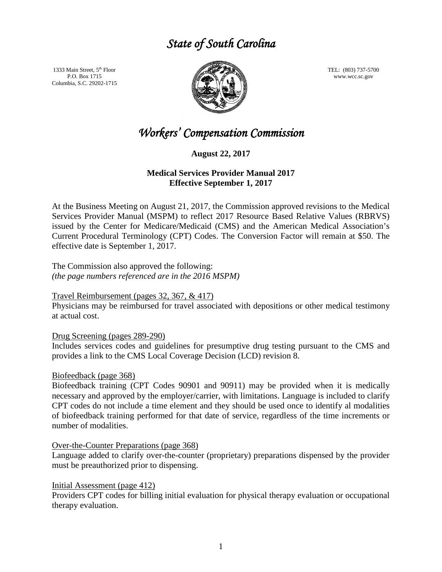# *State of South Carolina*

1333 Main Street, 5<sup>th</sup> Floor P.O. Box 1715 Columbia, S.C. 29202-1715



TEL: (803) 737-5700 www.wcc.sc.gov

# *Workers' Compensation Commission*

**August 22, 2017**

## **Medical Services Provider Manual 2017 Effective September 1, 2017**

At the Business Meeting on August 21, 2017, the Commission approved revisions to the Medical Services Provider Manual (MSPM) to reflect 2017 Resource Based Relative Values (RBRVS) issued by the Center for Medicare/Medicaid (CMS) and the American Medical Association's Current Procedural Terminology (CPT) Codes. The Conversion Factor will remain at \$50. The effective date is September 1, 2017.

The Commission also approved the following: *(the page numbers referenced are in the 2016 MSPM)*

## Travel Reimbursement (pages 32, 367, & 417)

Physicians may be reimbursed for travel associated with depositions or other medical testimony at actual cost.

Drug Screening (pages 289-290)

Includes services codes and guidelines for presumptive drug testing pursuant to the CMS and provides a link to the CMS Local Coverage Decision (LCD) revision 8.

### Biofeedback (page 368)

Biofeedback training (CPT Codes 90901 and 90911) may be provided when it is medically necessary and approved by the employer/carrier, with limitations. Language is included to clarify CPT codes do not include a time element and they should be used once to identify al modalities of biofeedback training performed for that date of service, regardless of the time increments or number of modalities.

### Over-the-Counter Preparations (page 368)

Language added to clarify over-the-counter (proprietary) preparations dispensed by the provider must be preauthorized prior to dispensing.

### Initial Assessment (page 412)

Providers CPT codes for billing initial evaluation for physical therapy evaluation or occupational therapy evaluation.